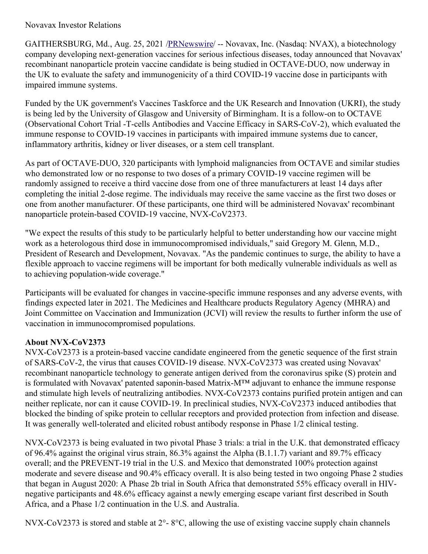## Novavax Investor Relations

GAITHERSBURG, Md., Aug. 25, 2021 [/PRNewswire](http://www.prnewswire.com/)/ -- Novavax, Inc. (Nasdaq: NVAX), a biotechnology company developing next-generation vaccines for serious infectious diseases, today announced that Novavax' recombinant nanoparticle protein vaccine candidate is being studied in OCTAVE-DUO, now underway in the UK to evaluate the safety and immunogenicity of a third COVID-19 vaccine dose in participants with impaired immune systems.

Funded by the UK government's Vaccines Taskforce and the UK Research and Innovation (UKRI), the study is being led by the University of Glasgow and University of Birmingham. It is a follow-on to OCTAVE (Observational Cohort Trial -T-cells Antibodies and Vaccine Efficacy in SARS-CoV-2), which evaluated the immune response to COVID-19 vaccines in participants with impaired immune systems due to cancer, inflammatory arthritis, kidney or liver diseases, or a stem cell transplant.

As part of OCTAVE-DUO, 320 participants with lymphoid malignancies from OCTAVE and similar studies who demonstrated low or no response to two doses of a primary COVID-19 vaccine regimen will be randomly assigned to receive a third vaccine dose from one of three manufacturers at least 14 days after completing the initial 2-dose regime. The individuals may receive the same vaccine as the first two doses or one from another manufacturer. Of these participants, one third will be administered Novavax' recombinant nanoparticle protein-based COVID-19 vaccine, NVX-CoV2373.

"We expect the results of this study to be particularly helpful to better understanding how our vaccine might work as a heterologous third dose in immunocompromised individuals," said Gregory M. Glenn, M.D., President of Research and Development, Novavax. "As the pandemic continues to surge, the ability to have a flexible approach to vaccine regimens will be important for both medically vulnerable individuals as well as to achieving population-wide coverage."

Participants will be evaluated for changes in vaccine-specific immune responses and any adverse events, with findings expected later in 2021. The Medicines and Healthcare products Regulatory Agency (MHRA) and Joint Committee on Vaccination and Immunization (JCVI) will review the results to further inform the use of vaccination in immunocompromised populations.

# **About NVX-CoV2373**

NVX-CoV2373 is a protein-based vaccine candidate engineered from the genetic sequence of the first strain of SARS-CoV-2, the virus that causes COVID-19 disease. NVX-CoV2373 was created using Novavax' recombinant nanoparticle technology to generate antigen derived from the coronavirus spike (S) protein and is formulated with Novavax' patented saponin-based Matrix-M™ adjuvant to enhance the immune response and stimulate high levels of neutralizing antibodies. NVX-CoV2373 contains purified protein antigen and can neither replicate, nor can it cause COVID-19. In preclinical studies, NVX-CoV2373 induced antibodies that blocked the binding of spike protein to cellular receptors and provided protection from infection and disease. It was generally well-tolerated and elicited robust antibody response in Phase 1/2 clinical testing.

NVX-CoV2373 is being evaluated in two pivotal Phase 3 trials: a trial in the U.K. that demonstrated efficacy of 96.4% against the original virus strain, 86.3% against the Alpha (B.1.1.7) variant and 89.7% efficacy overall; and the PREVENT-19 trial in the U.S. and Mexico that demonstrated 100% protection against moderate and severe disease and 90.4% efficacy overall. It is also being tested in two ongoing Phase 2 studies that began in August 2020: A Phase 2b trial in South Africa that demonstrated 55% efficacy overall in HIVnegative participants and 48.6% efficacy against a newly emerging escape variant first described in South Africa, and a Phase 1/2 continuation in the U.S. and Australia.

NVX-CoV2373 is stored and stable at 2°- 8°C, allowing the use of existing vaccine supply chain channels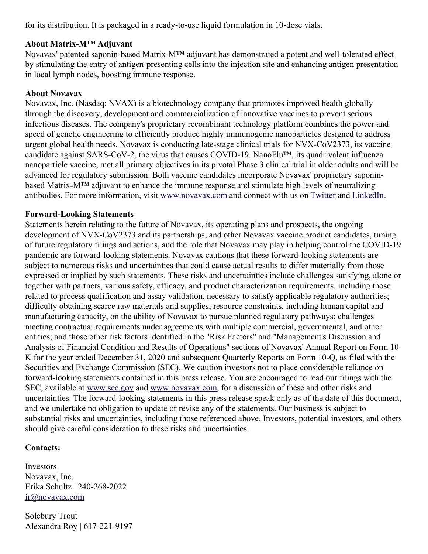for its distribution. It is packaged in a ready-to-use liquid formulation in 10-dose vials.

## **About Matrix-M™ Adjuvant**

Novavax' patented saponin-based Matrix-M™ adjuvant has demonstrated a potent and well-tolerated effect by stimulating the entry of antigen-presenting cells into the injection site and enhancing antigen presentation in local lymph nodes, boosting immune response.

### **About Novavax**

Novavax, Inc. (Nasdaq: NVAX) is a biotechnology company that promotes improved health globally through the discovery, development and commercialization of innovative vaccines to prevent serious infectious diseases. The company's proprietary recombinant technology platform combines the power and speed of genetic engineering to efficiently produce highly immunogenic nanoparticles designed to address urgent global health needs. Novavax is conducting late-stage clinical trials for NVX-CoV2373, its vaccine candidate against SARS-CoV-2, the virus that causes COVID-19. NanoFlu™, its quadrivalent influenza nanoparticle vaccine, met all primary objectives in its pivotal Phase 3 clinical trial in older adults and will be advanced for regulatory submission. Both vaccine candidates incorporate Novavax' proprietary saponinbased Matrix-M™ adjuvant to enhance the immune response and stimulate high levels of neutralizing antibodies. For more information, visit [www.novavax.com](https://c212.net/c/link/?t=0&l=en&o=3270332-1&h=1769860531&u=http%3A%2F%2Fwww.novavax.com%2F&a=www.novavax.com) and connect with us on [Twitter](https://c212.net/c/link/?t=0&l=en&o=3270332-1&h=2343654935&u=https%3A%2F%2Fc212.net%2Fc%2Flink%2F%3Ft%3D0%26l%3Den%26o%3D3158017-1%26h%3D500821283%26u%3Dhttps%253A%252F%252Ftwitter.com%252FNovavax%26a%3DTwitter&a=Twitter) and [LinkedIn](https://c212.net/c/link/?t=0&l=en&o=3270332-1&h=2619541972&u=https%3A%2F%2Fc212.net%2Fc%2Flink%2F%3Ft%3D0%26l%3Den%26o%3D3158017-1%26h%3D3702938248%26u%3Dhttps%253A%252F%252Fwww.linkedin.com%252Fcompany%252Fnovavax%252F%26a%3DLinkedIn&a=LinkedIn).

#### **Forward-Looking Statements**

Statements herein relating to the future of Novavax, its operating plans and prospects, the ongoing development of NVX-CoV2373 and its partnerships, and other Novavax vaccine product candidates, timing of future regulatory filings and actions, and the role that Novavax may play in helping control the COVID-19 pandemic are forward-looking statements. Novavax cautions that these forward-looking statements are subject to numerous risks and uncertainties that could cause actual results to differ materially from those expressed or implied by such statements. These risks and uncertainties include challenges satisfying, alone or together with partners, various safety, efficacy, and product characterization requirements, including those related to process qualification and assay validation, necessary to satisfy applicable regulatory authorities; difficulty obtaining scarce raw materials and supplies; resource constraints, including human capital and manufacturing capacity, on the ability of Novavax to pursue planned regulatory pathways; challenges meeting contractual requirements under agreements with multiple commercial, governmental, and other entities; and those other risk factors identified in the "Risk Factors" and "Management's Discussion and Analysis of Financial Condition and Results of Operations" sections of Novavax' Annual Report on Form 10- K for the year ended December 31, 2020 and subsequent Quarterly Reports on Form 10-Q, as filed with the Securities and Exchange Commission (SEC). We caution investors not to place considerable reliance on forward-looking statements contained in this press release. You are encouraged to read our filings with the SEC, available at [www.sec.gov](https://c212.net/c/link/?t=0&l=en&o=3270332-1&h=1816637731&u=http%3A%2F%2Fwww.sec.gov%2F&a=www.sec.gov) and [www.novavax.com](https://c212.net/c/link/?t=0&l=en&o=3270332-1&h=1769860531&u=http%3A%2F%2Fwww.novavax.com%2F&a=www.novavax.com), for a discussion of these and other risks and uncertainties. The forward-looking statements in this press release speak only as of the date of this document, and we undertake no obligation to update or revise any of the statements. Our business is subject to substantial risks and uncertainties, including those referenced above. Investors, potential investors, and others should give careful consideration to these risks and uncertainties.

### **Contacts:**

Investors Novavax, Inc. Erika Schultz | 240-268-2022 [ir@novavax.com](mailto:ir@novavax.com)

Solebury Trout Alexandra Roy | 617-221-9197